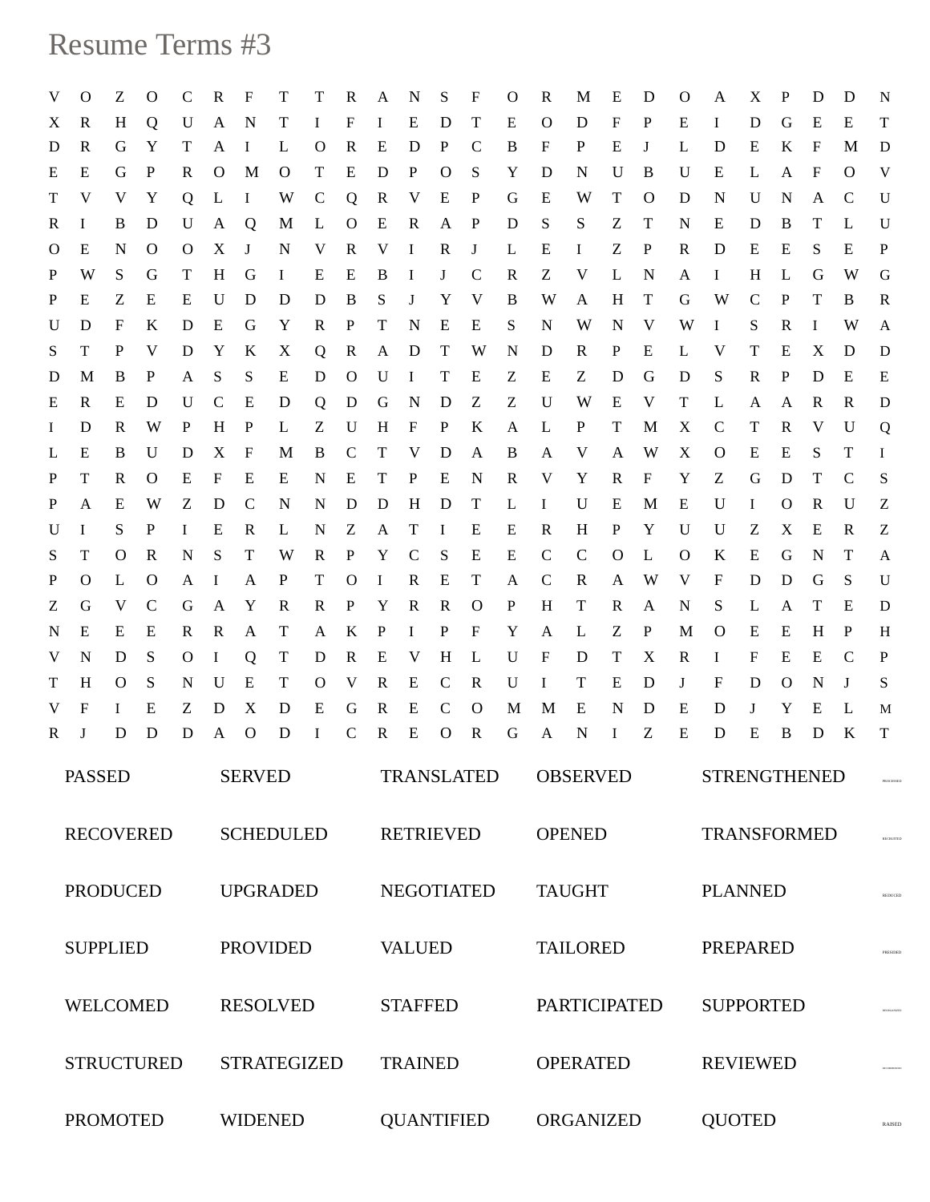## Resume Terms #3

| V                 | $\Omega$        | Ζ            | $\mathbf{O}$      | C            | R                  | F                 | T              | T            | R                | A                 | N                 | S                 | F             | $\circ$ | R                         | M               | E            | D                 | $\Omega$     | A                              | X                   | P            | D            | D             | N           |  |  |
|-------------------|-----------------|--------------|-------------------|--------------|--------------------|-------------------|----------------|--------------|------------------|-------------------|-------------------|-------------------|---------------|---------|---------------------------|-----------------|--------------|-------------------|--------------|--------------------------------|---------------------|--------------|--------------|---------------|-------------|--|--|
| X                 | R               | H            | Q                 | U            | A                  | $\mathbf N$       | Т              | Ι.           | F                | Ι.                | E                 | D                 | Т             | Ε       | $\circ$                   | D               | F            | P                 | Е            | $\bf{I}$                       | D                   | G            | E            | E             | T           |  |  |
| D                 | R               | G            | Y                 | T            | A                  | $\bf{I}$          | L              | $\circ$      | R                | E                 | D                 | $\mathbf{P}$      | $\mathsf{C}$  | B       | $\boldsymbol{\mathrm{F}}$ | P               | Ε            | J                 | L            | D                              | E                   | K            | F            | M             | D           |  |  |
| E                 | Ε               | G            | P                 | R            | $\mathbf{O}$       | M                 | $\Omega$       | T            | E                | D                 | $\mathbf{P}$      | $\Omega$          | S             | Y       | D                         | N               | U            | B                 | U            | E                              | L                   | A            | $\mathbf{F}$ | $\circ$       | V           |  |  |
| T                 | V               | V            | Y                 | Q            | L                  | $\bf{I}$          | W              | $\mathbf C$  | Q                | $\mathbf{R}$      | V                 | E                 | P             | G       | Е                         | W               | T            | $\circ$           | D            | N.                             | U                   | $\mathbf N$  | A            | C             | U           |  |  |
| R                 | Ι.              | B            | D                 | U            | A                  | Q                 | M              | L            | $\Omega$         | Ε                 | $\mathbb{R}$      | A                 | $\mathbf{P}$  | D       | S                         | S               | Ζ            | Т                 | N            | E                              | D                   | B            | T            | L             | U           |  |  |
| $\circ$           | E               | N            | O                 | $\Omega$     | X                  | J                 | $\mathbf N$    | V            | $\mathbf{R}$     | V                 | $\bf{I}$          | R                 | J             | L       | E                         | $\bf{I}$        | Z            | $\mathbf{P}$      | R            | D                              | E                   | Ε            | S            | Ε             | P           |  |  |
| P                 | W               | S.           | G                 | T            | H                  | G                 | $\bf{I}$       | E            | Е                | B                 | $\bf{I}$          | J                 | $\mathcal{C}$ | R       | Z                         | V               | L            | N                 | A            | $\bf{I}$                       | H                   | L            | G            | W             | G           |  |  |
| P                 | E               | Z            | E                 | Е            | U                  | D                 | D              | D            | B                | S                 | J                 | Y                 | V             | B       | W                         | A               | H            | Т                 | G            | W                              | C                   | P            | T            | B             | R           |  |  |
| U                 | D               | F            | K                 | D            | Е                  | G                 | Y              | R            | $\mathbf{P}$     | T                 | N                 | E                 | E             | S       | N                         | W               | N            | V                 | W            | $\bf{I}$                       | S                   | R            | $\bf{I}$     | W             | A           |  |  |
| S                 | T               | P            | V                 | D            | Y                  | K                 | X              | Q            | R                | A                 | D                 | Т                 | W             | N       | D                         | R               | P            | E                 | L            | V                              | T                   | Е            | X            | D             | D           |  |  |
| D                 | M               | B            | P                 | A            | S                  | S                 | Е              | D            | $\Omega$         | U                 | $\bf{I}$          | Т                 | Е             | Ζ       | E                         | Z               | D            | G                 | D            | S                              | R                   | P            | D            | E             | E           |  |  |
| Ε                 | R               | E            | D                 | U            | $\mathbf C$        | Е                 | D              | Q            | D                | G                 | N                 | D                 | Ζ             | Z       | U                         | W               | Ε            | V                 | T            | L                              | A                   | A            | R            | R             | D           |  |  |
| $\bf{I}$          | D               | R            | W                 | P            | H                  | P                 | L              | Z            | U                | H                 | F                 | P                 | K             | A       | L                         | P               | T            | M                 | X            | C                              | T                   | R            | V            | U             | Q           |  |  |
| L<br>P            | E<br>T          | B<br>R       | U<br>$\mathbf{O}$ | D<br>Ε       | X<br>F             | $\mathbf{F}$<br>Ε | M<br>Е         | B<br>N       | $\mathbf C$<br>Е | T<br>T            | V<br>P            | D<br>Е            | A<br>N        | B<br>R  | A<br>V                    | V<br>Y          | A<br>R       | W<br>$\mathbf{F}$ | X<br>Y       | $\circ$<br>Z                   | E<br>G              | Е<br>D       | S.<br>T      | T<br>C        | Ι.<br>S     |  |  |
| P                 | $\mathbf{A}$    | Ε            | W                 | Z            | D                  | $\mathbf C$       | $\mathbf N$    | N            | D                | D                 | H                 | D                 | T             | L       | $\bf{I}$                  | U               | E            | M                 | Ε            | U                              | $\bf I$             | $\mathbf{O}$ | R            | U             | Ζ           |  |  |
| U                 | $\bf{I}$        | S            | P                 | $\mathbf{I}$ | Ε                  | $\mathbb{R}$      | L              | N            | Z                | A                 | T                 | $\bf{I}$          | Ε             | Е       | R                         | H               | $\mathbf{P}$ | Y                 | U            | U                              | Ζ                   | X            | E            | R             | Ζ           |  |  |
| S                 | T               | O            | $\mathbb{R}$      | N            | S                  | T                 | W              | $\mathbf R$  | $\mathbf{P}$     | Y                 | $\mathsf{C}$      | S                 | E             | E       | $\mathcal{C}$             | $\mathcal{C}$   | $\Omega$     | L                 | $\mathbf{O}$ | K                              | E                   | G            | N            | Т             | A           |  |  |
| P                 | $\mathbf{O}$    | L            | $\Omega$          | A            | $\bf{I}$           | A                 | $\mathbf{P}$   | T            | $\Omega$         | $\bf{I}$          | $\mathbf R$       | E                 | T             | A       | $\mathbf C$               | R               | A            | W                 | V            | F                              | D                   | D            | G            | S             | U           |  |  |
| Z                 | G               | V            | $\mathcal{C}$     | G            | A                  | Y                 | R              | $\mathbf R$  | P                | Y                 | $\mathbf R$       | R                 | $\Omega$      | P       | H                         | T               | R            | A                 | N            | S                              | L                   | A            | T            | Ε             | D           |  |  |
| N                 | E               | E            | Ε                 | R            | R                  | A                 | Т              | A            | K                | $\mathbf{P}$      | $\bf{I}$          | P                 | F             | Y       | A                         | L               | Z            | $\mathbf{P}$      | M            | $\circ$                        | Е                   | E            | H            | $\mathbf{P}$  | H           |  |  |
| V                 | N               | D            | S                 | $\Omega$     | $\bf{I}$           | Q                 | Т              | D            | $\mathbf{R}$     | E                 | V                 | H                 | L             | U       | F                         | D               | T            | X                 | R            | $\bf{I}$                       | F                   | Е            | E            | $\mathcal{C}$ | $\mathbf P$ |  |  |
| T                 | H               | O            | S                 | N            | U                  | E                 | T              | $\mathbf{O}$ | V                | $\mathbf R$       | E                 | $\mathsf{C}$      | $\mathbf R$   | U       | $\bf{I}$                  | T               | E            | D                 | J            | F                              | D                   | $\mathbf{O}$ | N            | J             | S           |  |  |
| V.                | F               | $\mathbf{I}$ | Е                 | Z            | D                  | X                 | D              | Е            | G                | R                 | Е                 | $\mathbf C$       | $\Omega$      | M       | M                         | E               | N            | D                 | Е            | D                              | J                   | Y            | E            | L             | M           |  |  |
| R                 | J               | D            | D                 | D            | $\mathbf{A}$       | $\Omega$          | D              | $\bf{I}$     | $\mathbf C$      | $\mathbf R$       | E                 | $\mathbf{O}$      | $\mathbb{R}$  | G       | A                         | N               | $\bf I$      | Z                 | Ε            | D                              | E                   | B            | D            | K             | $\mathbf T$ |  |  |
| <b>PASSED</b>     |                 |              |                   |              | <b>SERVED</b>      |                   |                |              |                  |                   | <b>TRANSLATED</b> |                   |               |         |                           | <b>OBSERVED</b> |              |                   |              |                                | <b>STRENGTHENED</b> |              |              |               |             |  |  |
| <b>RECOVERED</b>  |                 |              |                   |              | <b>SCHEDULED</b>   |                   |                |              |                  | <b>RETRIEVED</b>  |                   |                   |               |         | <b>OPENED</b>             |                 |              |                   |              | <b>TRANSFORMED</b>             |                     |              |              |               |             |  |  |
| <b>PRODUCED</b>   |                 |              |                   |              | <b>UPGRADED</b>    |                   |                |              |                  | <b>NEGOTIATED</b> |                   |                   |               |         | <b>TAUGHT</b>             |                 |              |                   |              | <b>PLANNED</b>                 |                     |              |              |               |             |  |  |
|                   | <b>SUPPLIED</b> |              |                   |              | <b>PROVIDED</b>    |                   |                |              |                  | <b>VALUED</b>     |                   |                   |               |         | <b>TAILORED</b>           |                 |              |                   |              | <b>PREPARED</b>                |                     |              |              |               |             |  |  |
| <b>WELCOMED</b>   |                 |              |                   |              | <b>RESOLVED</b>    |                   |                |              |                  | <b>STAFFED</b>    |                   |                   |               |         | <b>PARTICIPATED</b>       |                 |              |                   |              | <b>SUPPORTED</b>               |                     |              |              |               |             |  |  |
| <b>STRUCTURED</b> |                 |              |                   |              | <b>STRATEGIZED</b> |                   |                |              |                  |                   | <b>TRAINED</b>    |                   |               |         | <b>OPERATED</b>           |                 |              |                   |              | <b>REVIEWED</b>                |                     |              |              |               |             |  |  |
|                   | <b>PROMOTED</b> |              |                   |              |                    |                   | <b>WIDENED</b> |              |                  |                   |                   | <b>QUANTIFIED</b> |               |         |                           | ORGANIZED       |              |                   |              | <b>QUOTED</b><br><b>RAISED</b> |                     |              |              |               |             |  |  |